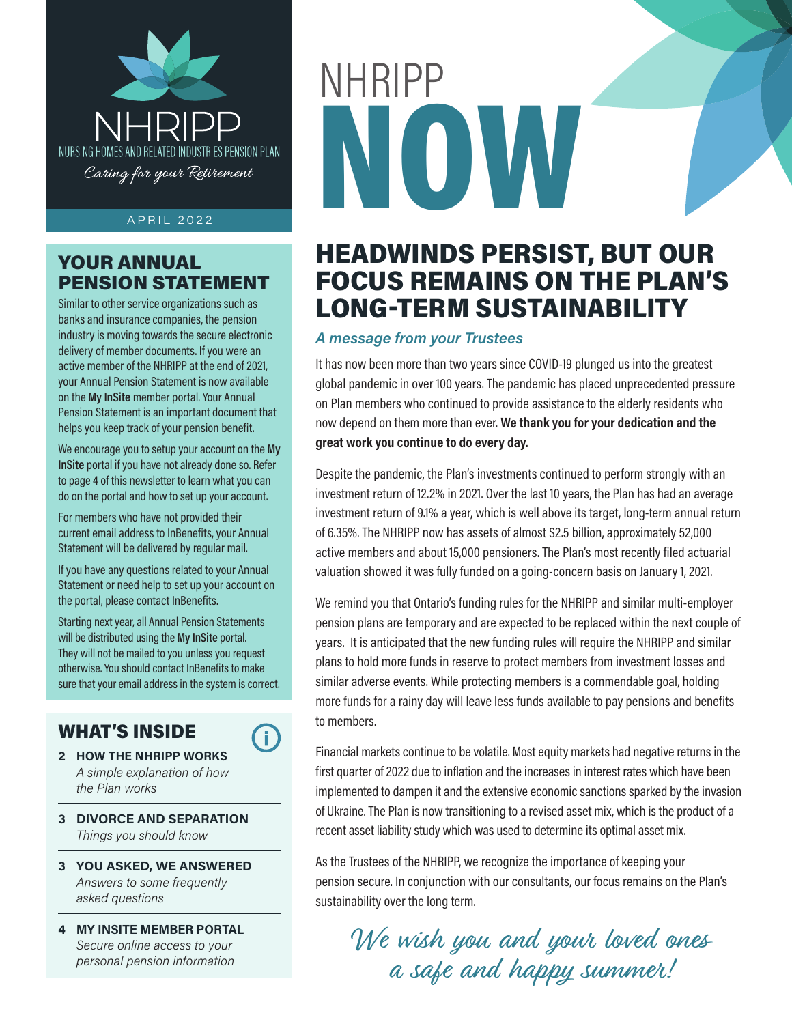

#### APRIL 2022

## YOUR ANNUAL PENSION STATEMENT

Similar to other service organizations such as banks and insurance companies, the pension industry is moving towards the secure electronic delivery of member documents. If you were an active member of the NHRIPP at the end of 2021, your Annual Pension Statement is now available on the **My InSite** member portal. Your Annual Pension Statement is an important document that helps you keep track of your pension benefit.

We encourage you to setup your account on the **My InSite** portal if you have not already done so. Refer to page 4 of this newsletter to learn what you can do on the portal and how to set up your account.

For members who have not provided their current email address to InBenefits, your Annual Statement will be delivered by regular mail.

If you have any questions related to your Annual Statement or need help to set up your account on the portal, please contact InBenefits.

Starting next year, all Annual Pension Statements will be distributed using the **My InSite** portal. They will not be mailed to you unless you request otherwise. You should contact InBenefits to make sure that your email address in the system is correct.

# WHAT'S INSIDE



- **2 HOW THE NHRIPP WORKS** *A simple explanation of how the Plan works*
- **3 DIVORCE AND SEPARATION** *Things you should know*
- **3 YOU ASKED, WE ANSWERED** *Answers to some frequently asked questions*
- **4 MY INSITE MEMBER PORTAL**  *Secure online access to your personal pension information*

# NOW NHRIPP

# HEADWINDS PERSIST, BUT OUR FOCUS REMAINS ON THE PLAN'S LONG-TERM SUSTAINABILITY

#### *A message from your Trustees*

It has now been more than two years since COVID-19 plunged us into the greatest global pandemic in over 100 years. The pandemic has placed unprecedented pressure on Plan members who continued to provide assistance to the elderly residents who now depend on them more than ever. **We thank you for your dedication and the great work you continue to do every day.** 

Despite the pandemic, the Plan's investments continued to perform strongly with an investment return of 12.2% in 2021. Over the last 10 years, the Plan has had an average investment return of 9.1% a year, which is well above its target, long-term annual return of 6.35%. The NHRIPP now has assets of almost \$2.5 billion, approximately 52,000 active members and about 15,000 pensioners. The Plan's most recently filed actuarial valuation showed it was fully funded on a going-concern basis on January 1, 2021.

We remind you that Ontario's funding rules for the NHRIPP and similar multi-employer pension plans are temporary and are expected to be replaced within the next couple of years. It is anticipated that the new funding rules will require the NHRIPP and similar plans to hold more funds in reserve to protect members from investment losses and similar adverse events. While protecting members is a commendable goal, holding more funds for a rainy day will leave less funds available to pay pensions and benefits to members.

Financial markets continue to be volatile. Most equity markets had negative returns in the first quarter of 2022 due to inflation and the increases in interest rates which have been implemented to dampen it and the extensive economic sanctions sparked by the invasion of Ukraine. The Plan is now transitioning to a revised asset mix, which is the product of a recent asset liability study which was used to determine its optimal asset mix.

As the Trustees of the NHRIPP, we recognize the importance of keeping your pension secure. In conjunction with our consultants, our focus remains on the Plan's sustainability over the long term.

We wish you and your loved ones a safe and happy summer!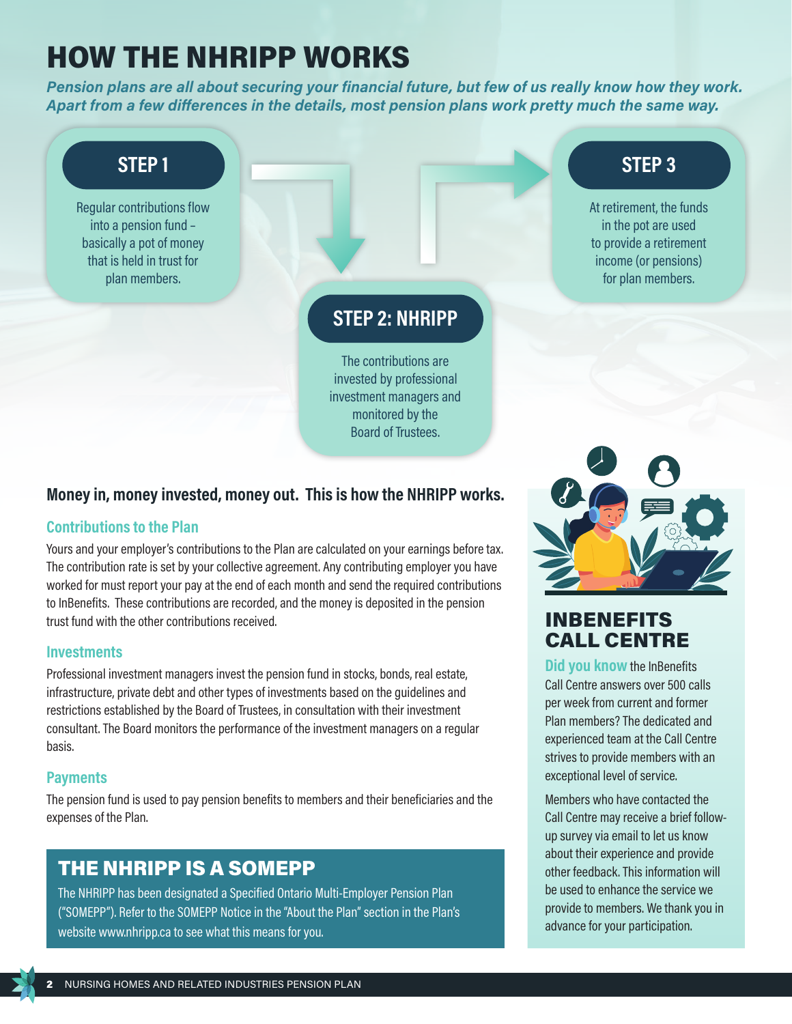# HOW THE NHRIPP WORKS

*Pension plans are all about securing your financial future, but few of us really know how they work. Apart from a few differences in the details, most pension plans work pretty much the same way.*

# **STEP 1**

Regular contributions flow into a pension fund – basically a pot of money that is held in trust for plan members.

# **STEP 2: NHRIPP**

The contributions are invested by professional investment managers and monitored by the Board of Trustees.

## **Money in, money invested, money out. This is how the NHRIPP works.**

#### **Contributions to the Plan**

Yours and your employer's contributions to the Plan are calculated on your earnings before tax. The contribution rate is set by your collective agreement. Any contributing employer you have worked for must report your pay at the end of each month and send the required contributions to InBenefits. These contributions are recorded, and the money is deposited in the pension trust fund with the other contributions received.

#### **Investments**

Professional investment managers invest the pension fund in stocks, bonds, real estate, infrastructure, private debt and other types of investments based on the guidelines and restrictions established by the Board of Trustees, in consultation with their investment consultant. The Board monitors the performance of the investment managers on a regular basis.

#### **Payments**

The pension fund is used to pay pension benefits to members and their beneficiaries and the expenses of the Plan.

# THE NHRIPP IS A SOMEPP

The NHRIPP has been designated a Specified Ontario Multi-Employer Pension Plan ("SOMEPP"). Refer to the SOMEPP Notice in the "About the Plan" section in the Plan's website www.nhripp.ca to see what this means for you.

At retirement, the funds in the pot are used to provide a retirement income (or pensions) for plan members.

**STEP 3**

## INBENEFITS CALL CENTRE

**Did you know** the InBenefits Call Centre answers over 500 calls per week from current and former Plan members? The dedicated and experienced team at the Call Centre strives to provide members with an exceptional level of service.

Members who have contacted the Call Centre may receive a brief followup survey via email to let us know about their experience and provide other feedback. This information will be used to enhance the service we provide to members. We thank you in advance for your participation.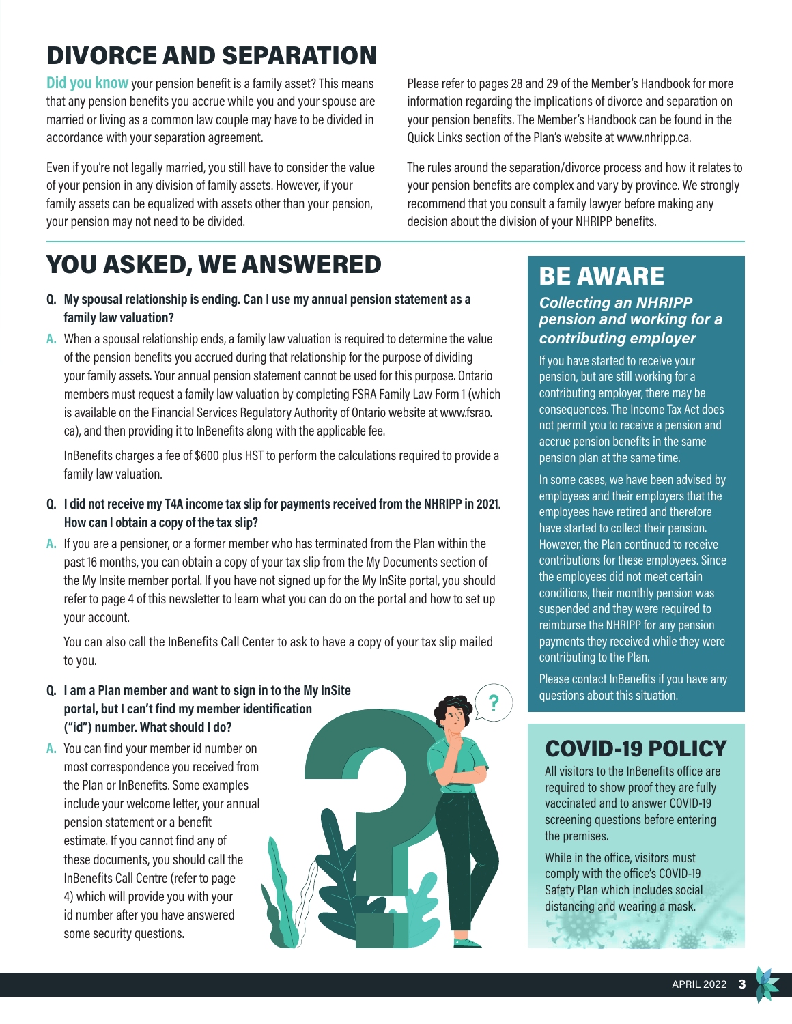# DIVORCE AND SEPARATION

**Did you know** your pension benefit is a family asset? This means that any pension benefits you accrue while you and your spouse are married or living as a common law couple may have to be divided in accordance with your separation agreement.

Even if you're not legally married, you still have to consider the value of your pension in any division of family assets. However, if your family assets can be equalized with assets other than your pension, your pension may not need to be divided.

# YOU ASKED, WE ANSWERED

- **Q. My spousal relationship is ending. Can I use my annual pension statement as a family law valuation?**
- **A.** When a spousal relationship ends, a family law valuation is required to determine the value of the pension benefits you accrued during that relationship for the purpose of dividing your family assets. Your annual pension statement cannot be used for this purpose. Ontario members must request a family law valuation by completing FSRA Family Law Form 1 (which is available on the Financial Services Regulatory Authority of Ontario website at www.fsrao. ca), and then providing it to InBenefits along with the applicable fee.

 InBenefits charges a fee of \$600 plus HST to perform the calculations required to provide a family law valuation.

- **Q. I did not receive my T4A income tax slip for payments received from the NHRIPP in 2021. How can I obtain a copy of the tax slip?**
- **A.** If you are a pensioner, or a former member who has terminated from the Plan within the past 16 months, you can obtain a copy of your tax slip from the My Documents section of the My Insite member portal. If you have not signed up for the My InSite portal, you should refer to page 4 of this newsletter to learn what you can do on the portal and how to set up your account.

You can also call the InBenefits Call Center to ask to have a copy of your tax slip mailed to you.

- **Q. I am a Plan member and want to sign in to the My InSite portal, but I can't find my member identification ("id") number. What should I do?**
- **A.** You can find your member id number on most correspondence you received from the Plan or InBenefits. Some examples include your welcome letter, your annual pension statement or a benefit estimate. If you cannot find any of these documents, you should call the InBenefits Call Centre (refer to page 4) which will provide you with your id number after you have answered some security questions.



Please refer to pages 28 and 29 of the Member's Handbook for more information regarding the implications of divorce and separation on your pension benefits. The Member's Handbook can be found in the Quick Links section of the Plan's website at www.nhripp.ca.

The rules around the separation/divorce process and how it relates to your pension benefits are complex and vary by province. We strongly recommend that you consult a family lawyer before making any decision about the division of your NHRIPP benefits.

# BE AWARE

*Collecting an NHRIPP pension and working for a contributing employer*

If you have started to receive your pension, but are still working for a contributing employer, there may be consequences. The Income Tax Act does not permit you to receive a pension and accrue pension benefits in the same pension plan at the same time.

In some cases, we have been advised by employees and their employers that the employees have retired and therefore have started to collect their pension. However, the Plan continued to receive contributions for these employees. Since the employees did not meet certain conditions, their monthly pension was suspended and they were required to reimburse the NHRIPP for any pension payments they received while they were contributing to the Plan.

Please contact InBenefits if you have any questions about this situation.

# COVID-19 POLICY

All visitors to the InBenefits office are required to show proof they are fully vaccinated and to answer COVID-19 screening questions before entering the premises.

While in the office, visitors must comply with the office's COVID-19 Safety Plan which includes social distancing and wearing a mask.